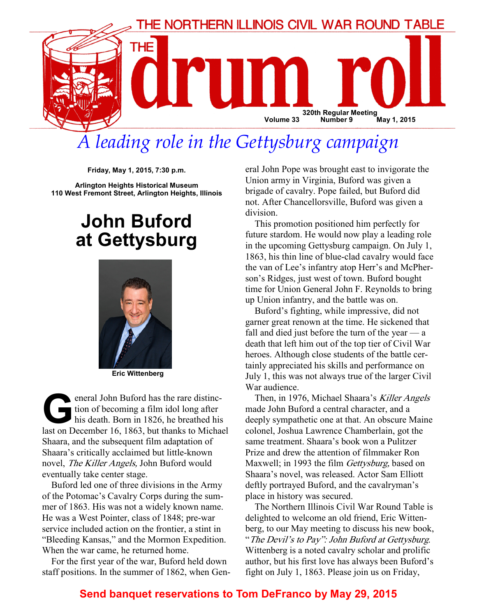

# A leading role in the Gettysburg campaign

Friday, May 1, 2015, 7:30 p.m.

Arlington Heights Historical Museum 110 West Fremont Street, Arlington Heights, Illinois

## John Buford at Gettysburg



Eric Wittenberg

eneral John Buford has the rare distinction of becoming a film idol long after<br>his death. Born in 1826, he breathed his<br>last on December 16, 1863, but thanks to Micha tion of becoming a film idol long after his death. Born in 1826, he breathed his last on December 16, 1863, but thanks to Michael Shaara, and the subsequent film adaptation of Shaara's critically acclaimed but little-known novel, The Killer Angels, John Buford would eventually take center stage.

Buford led one of three divisions in the Army of the Potomac's Cavalry Corps during the summer of 1863. His was not a widely known name. He was a West Pointer, class of 1848; pre-war service included action on the frontier, a stint in "Bleeding Kansas," and the Mormon Expedition. When the war came, he returned home.

For the first year of the war, Buford held down staff positions. In the summer of 1862, when General John Pope was brought east to invigorate the Union army in Virginia, Buford was given a brigade of cavalry. Pope failed, but Buford did not. After Chancellorsville, Buford was given a division.

This promotion positioned him perfectly for future stardom. He would now play a leading role in the upcoming Gettysburg campaign. On July 1, 1863, his thin line of blue-clad cavalry would face the van of Lee's infantry atop Herr's and McPherson's Ridges, just west of town. Buford bought time for Union General John F. Reynolds to bring up Union infantry, and the battle was on.

Buford's fighting, while impressive, did not garner great renown at the time. He sickened that fall and died just before the turn of the year — a death that left him out of the top tier of Civil War heroes. Although close students of the battle certainly appreciated his skills and performance on July 1, this was not always true of the larger Civil War audience.

Then, in 1976, Michael Shaara's Killer Angels made John Buford a central character, and a deeply sympathetic one at that. An obscure Maine colonel, Joshua Lawrence Chamberlain, got the same treatment. Shaara's book won a Pulitzer Prize and drew the attention of filmmaker Ron Maxwell; in 1993 the film *Gettysburg*, based on Shaara's novel, was released. Actor Sam Elliott deftly portrayed Buford, and the cavalryman's place in history was secured.

The Northern Illinois Civil War Round Table is delighted to welcome an old friend, Eric Wittenberg, to our May meeting to discuss his new book, "The Devil's to Pay": John Buford at Gettysburg. Wittenberg is a noted cavalry scholar and prolific author, but his first love has always been Buford's fight on July 1, 1863. Please join us on Friday,

### Send banquet reservations to Tom DeFranco by May 29, 2015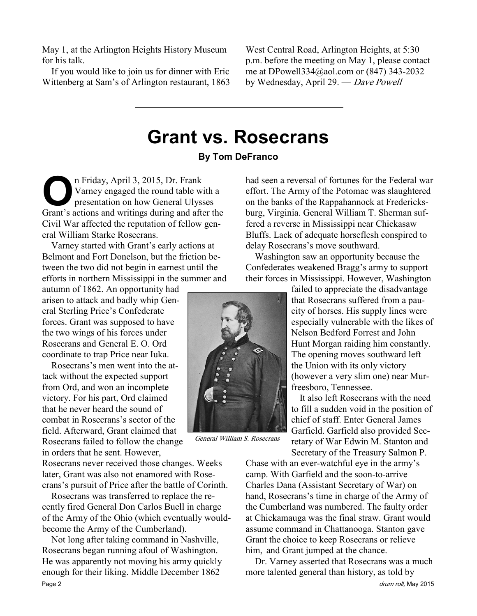May 1, at the Arlington Heights History Museum for his talk.

If you would like to join us for dinner with Eric Wittenberg at Sam's of Arlington restaurant, 1863

West Central Road, Arlington Heights, at 5:30 p.m. before the meeting on May 1, please contact me at DPowell334@aol.com or (847) 343-2032 by Wednesday, April 29. — Dave Powell

### Grant vs. Rosecrans By Tom DeFranco

On Friday, April 3, 2015, Dr. Frank<br>Varney engaged the round table with<br>presentation on how General Ulyss<br>Grant's actions and writings during and after Varney engaged the round table with a presentation on how General Ulysses Grant's actions and writings during and after the Civil War affected the reputation of fellow general William Starke Rosecrans.

Varney started with Grant's early actions at Belmont and Fort Donelson, but the friction between the two did not begin in earnest until the efforts in northern Mississippi in the summer and

autumn of 1862. An opportunity had arisen to attack and badly whip General Sterling Price's Confederate forces. Grant was supposed to have the two wings of his forces under Rosecrans and General E. O. Ord coordinate to trap Price near Iuka.

Rosecrans's men went into the attack without the expected support from Ord, and won an incomplete victory. For his part, Ord claimed that he never heard the sound of combat in Rosecrans's sector of the field. Afterward, Grant claimed that Rosecrans failed to follow the change in orders that he sent. However,

Rosecrans never received those changes. Weeks later, Grant was also not enamored with Rosecrans's pursuit of Price after the battle of Corinth.

Rosecrans was transferred to replace the recently fired General Don Carlos Buell in charge of the Army of the Ohio (which eventually wouldbecome the Army of the Cumberland).

Not long after taking command in Nashville, Rosecrans began running afoul of Washington. He was apparently not moving his army quickly enough for their liking. Middle December 1862 Page 2 drum roll, May 2015

 $\frac{1}{2}$ 

General William S. Rosecrans

had seen a reversal of fortunes for the Federal war effort. The Army of the Potomac was slaughtered on the banks of the Rappahannock at Fredericksburg, Virginia. General William T. Sherman suffered a reverse in Mississippi near Chickasaw Bluffs. Lack of adequate horseflesh conspired to delay Rosecrans's move southward.

Washington saw an opportunity because the Confederates weakened Bragg's army to support their forces in Mississippi. However, Washington

> failed to appreciate the disadvantage that Rosecrans suffered from a paucity of horses. His supply lines were especially vulnerable with the likes of Nelson Bedford Forrest and John Hunt Morgan raiding him constantly. The opening moves southward left the Union with its only victory (however a very slim one) near Murfreesboro, Tennessee.

> It also left Rosecrans with the need to fill a sudden void in the position of chief of staff. Enter General James Garfield. Garfield also provided Secretary of War Edwin M. Stanton and Secretary of the Treasury Salmon P.

Chase with an ever-watchful eye in the army's camp. With Garfield and the soon-to-arrive Charles Dana (Assistant Secretary of War) on hand, Rosecrans's time in charge of the Army of the Cumberland was numbered. The faulty order at Chickamauga was the final straw. Grant would assume command in Chattanooga. Stanton gave Grant the choice to keep Rosecrans or relieve him, and Grant jumped at the chance.

Dr. Varney asserted that Rosecrans was a much more talented general than history, as told by

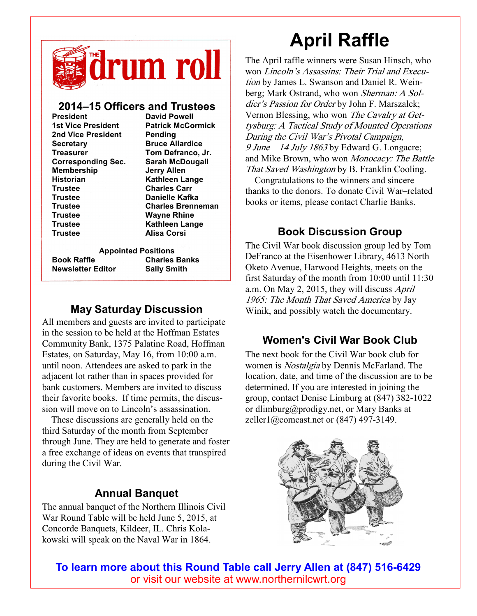

#### 2014–15 Officers and Trustees

| <b>President</b>          | <b>David Powell</b>      |
|---------------------------|--------------------------|
| 1st Vice President        | <b>Patrick McCormick</b> |
| 2nd Vice President        | Pending                  |
| <b>Secretary</b>          | <b>Bruce Allardice</b>   |
| <b>Treasurer</b>          | Tom Defranco, Jr.        |
| <b>Corresponding Sec.</b> | <b>Sarah McDougall</b>   |
| <b>Membership</b>         | <b>Jerry Allen</b>       |
| <b>Historian</b>          | <b>Kathleen Lange</b>    |
| <b>Trustee</b>            | <b>Charles Carr</b>      |
| <b>Trustee</b>            | Danielle Kafka           |
| <b>Trustee</b>            | <b>Charles Brenneman</b> |
| <b>Trustee</b>            | <b>Wayne Rhine</b>       |
| <b>Trustee</b>            | <b>Kathleen Lange</b>    |
| <b>Trustee</b>            | <b>Alisa Corsi</b>       |
|                           |                          |
|                           |                          |

Book Raffle Charles Banks Newsletter Editor Sally Smith

Appointed Positions

### May Saturday Discussion

All members and guests are invited to participate in the session to be held at the Hoffman Estates Community Bank, 1375 Palatine Road, Hoffman Estates, on Saturday, May 16, from 10:00 a.m. until noon. Attendees are asked to park in the adjacent lot rather than in spaces provided for bank customers. Members are invited to discuss their favorite books. If time permits, the discussion will move on to Lincoln's assassination.

These discussions are generally held on the third Saturday of the month from September through June. They are held to generate and foster a free exchange of ideas on events that transpired during the Civil War.

### Annual Banquet

The annual banquet of the Northern Illinois Civil War Round Table will be held June 5, 2015, at Concorde Banquets, Kildeer, IL. Chris Kolakowski will speak on the Naval War in 1864.

# April Raffle

The April raffle winners were Susan Hinsch, who won Lincoln's Assassins: Their Trial and Execution by James L. Swanson and Daniel R. Weinberg; Mark Ostrand, who won Sherman: A Soldier's Passion for Order by John F. Marszalek; Vernon Blessing, who won The Cavalry at Gettysburg: A Tactical Study of Mounted Operations During the Civil War's Pivotal Campaign, 9 June – 14 July 1863 by Edward G. Longacre; and Mike Brown, who won Monocacy: The Battle That Saved Washington by B. Franklin Cooling.

Congratulations to the winners and sincere thanks to the donors. To donate Civil War–related books or items, please contact Charlie Banks.

### Book Discussion Group

The Civil War book discussion group led by Tom DeFranco at the Eisenhower Library, 4613 North Oketo Avenue, Harwood Heights, meets on the first Saturday of the month from 10:00 until 11:30 a.m. On May 2, 2015, they will discuss April 1965: The Month That Saved America by Jay Winik, and possibly watch the documentary.

### Women's Civil War Book Club

The next book for the Civil War book club for women is *Nostalgia* by Dennis McFarland. The location, date, and time of the discussion are to be determined. If you are interested in joining the group, contact Denise Limburg at (847) 382-1022 or dlimburg@prodigy.net, or Mary Banks at zeller1@comcast.net or (847) 497-3149.



To learn more about this Round Table call Jerry Allen at (847) 516-6429 or visit our website at www.northernilcwrt.org